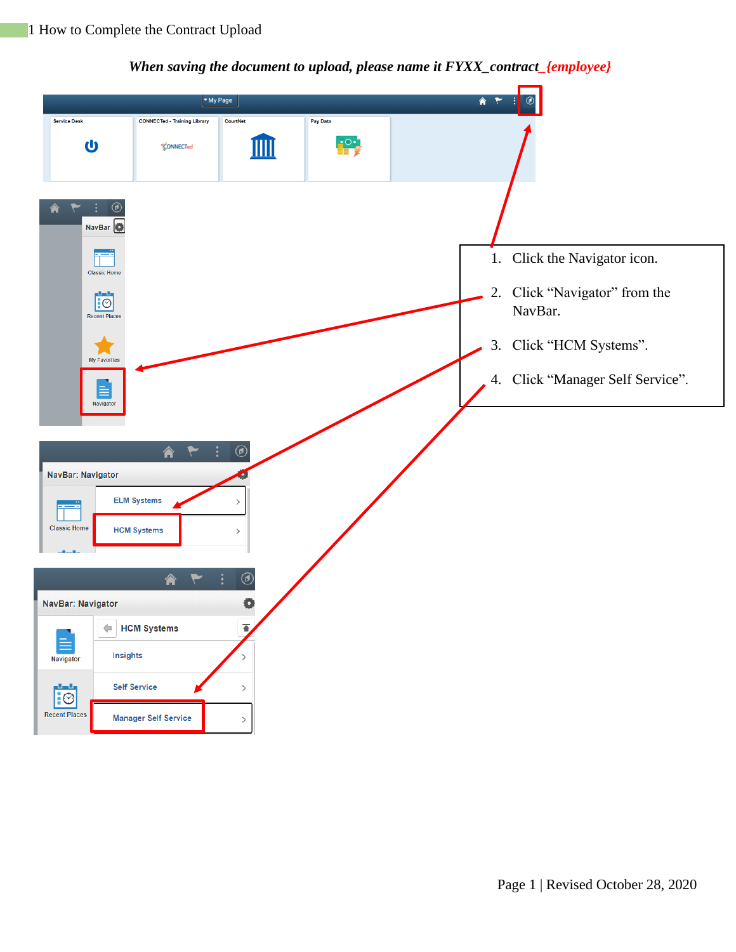

## *When saving the document to upload, please name it FYXX\_contract\_{employee}*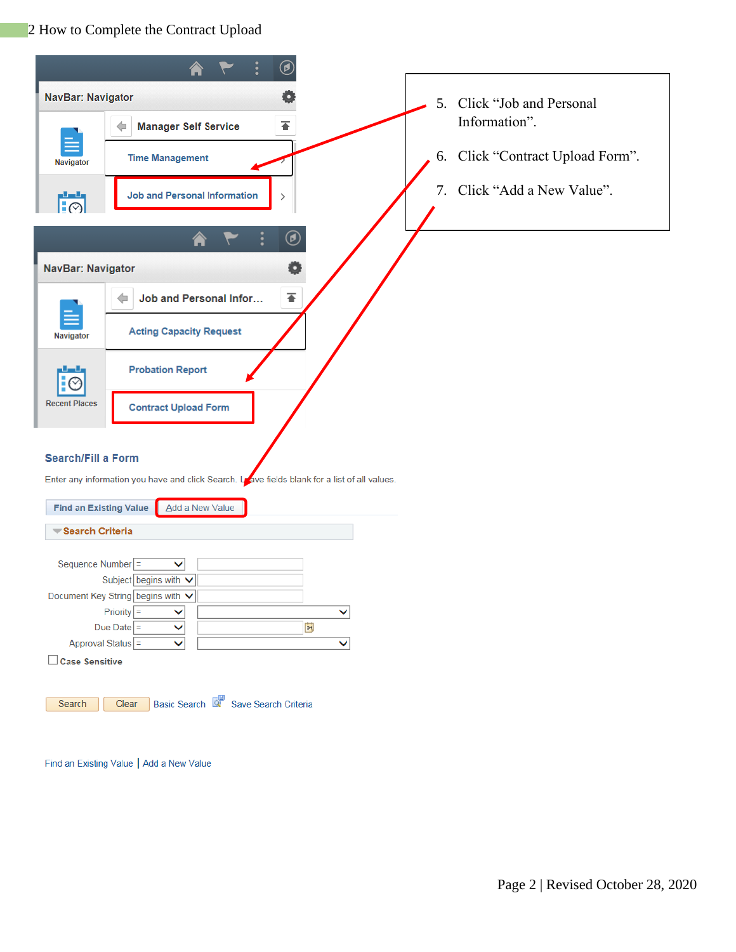## 2 How to Complete the Contract Upload

|                                                | $\circledcirc$                                                                                                                 |    |                               |
|------------------------------------------------|--------------------------------------------------------------------------------------------------------------------------------|----|-------------------------------|
| NavBar: Navigator                              |                                                                                                                                | 5. | Click "Job and Personal       |
| ≣<br>Navigator                                 | ⋠<br><b>Manager Self Service</b><br>⇔                                                                                          |    | Information".                 |
|                                                | <b>Time Management</b>                                                                                                         | 6. | Click "Contract Upload Form". |
| Fol                                            | <b>Job and Personal Information</b><br>$\left\langle \right\rangle$                                                            |    | 7. Click "Add a New Value".   |
|                                                | $\circledcirc$                                                                                                                 |    |                               |
| NavBar: Navigator                              | ۰                                                                                                                              |    |                               |
| ≣<br>Navigator                                 | $\overline{\bullet}$<br>Job and Personal Infor<br>⇐                                                                            |    |                               |
|                                                | <b>Acting Capacity Request</b>                                                                                                 |    |                               |
| والسالع<br>$\boxed{0}$<br><b>Recent Places</b> | <b>Probation Report</b>                                                                                                        |    |                               |
|                                                | <b>Contract Upload Form</b>                                                                                                    |    |                               |
| <b>Search/Fill a Form</b>                      |                                                                                                                                |    |                               |
|                                                | Enter any information you have and click Search. Leave fields blank for a list of all values.                                  |    |                               |
| <b>Find an Existing Value</b>                  | Add a New Value                                                                                                                |    |                               |
| Search Criteria                                |                                                                                                                                |    |                               |
| Sequence Number $\sqrt{=}$                     | $\checkmark$                                                                                                                   |    |                               |
|                                                | Subject begins with $\vee$<br>Document Key String begins with V                                                                |    |                               |
|                                                | Priority $\boxed{=}$<br>v<br>v                                                                                                 |    |                               |
|                                                | Due Date $\boxed{=}$<br>$\overline{\mathbf{B}}$<br>$\checkmark$<br>Approval Status $\boxed{=}$<br>$\overline{\mathsf{v}}$<br>v |    |                               |
| $\Box$ Case Sensitive                          |                                                                                                                                |    |                               |
| Search                                         | Basic Search & Save Search Criteria<br>Clear                                                                                   |    |                               |

Find an Existing Value | Add a New Value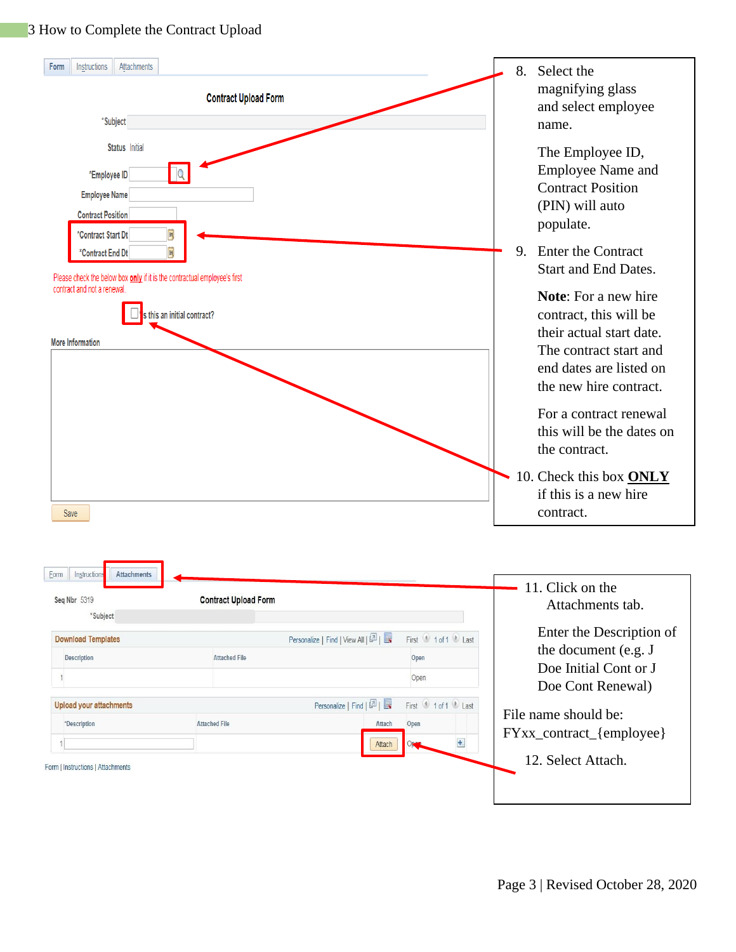## 3 How to Complete the Contract Upload

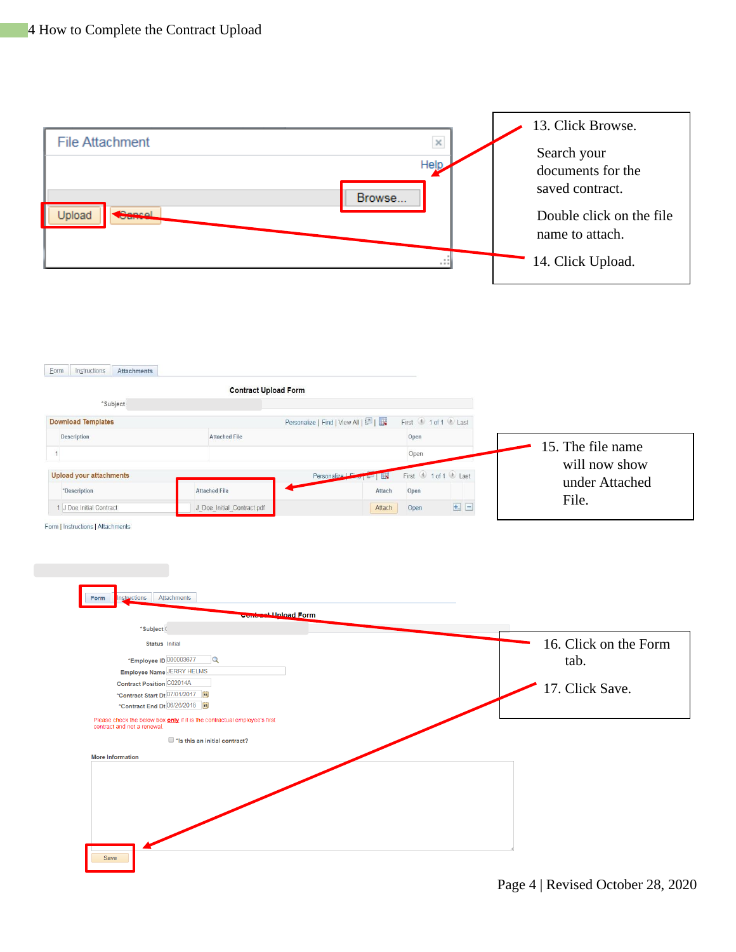